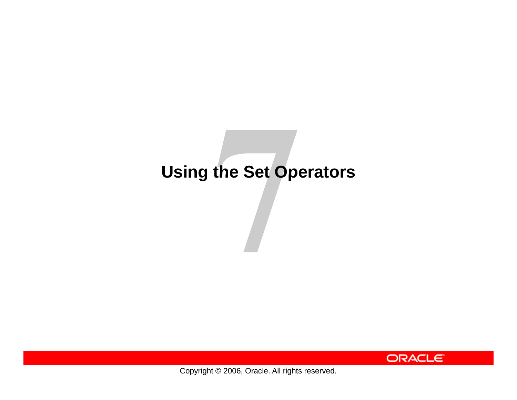# **Using the Set Operators**



Copyright © 2006, Oracle. All rights reserved.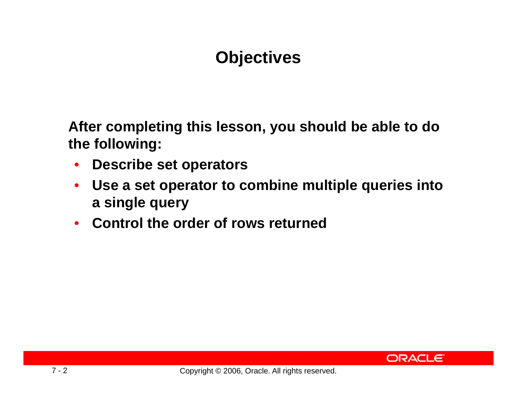# **Objectives**

**After completing this lesson you should be able to do this lesson, the following:**

- $\bullet$ **Describe set operators**
- $\bullet$  **Use a set operator to combine multiple queries into a single query**
- **Control the order of rows returned**

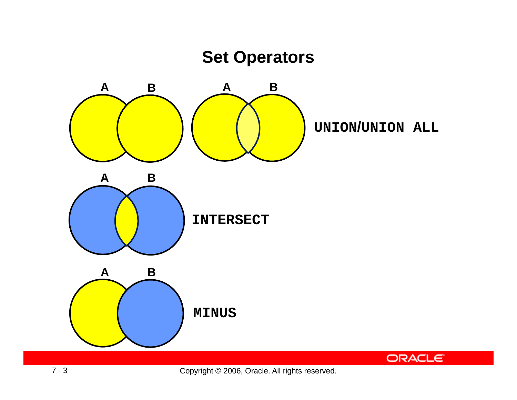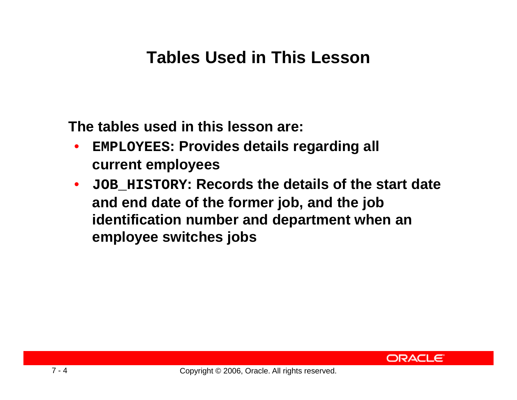## **Tables Used in This Lesson**

**The tables used in this lesson are:**

- • **EMPLOYEES: Provides details regarding all current employees**
- $\bullet$  **JOB\_HISTORY: Records the details of the start date and end date of the former job, and the job identification number and de partment when an employee switches jobs**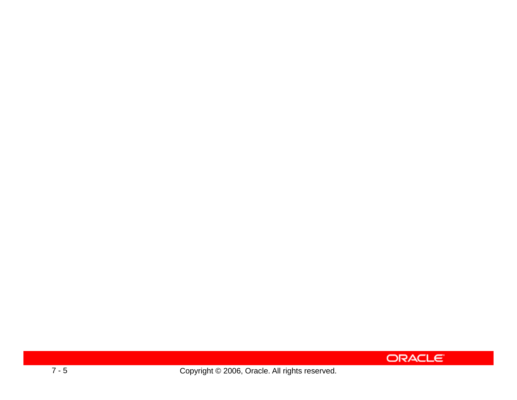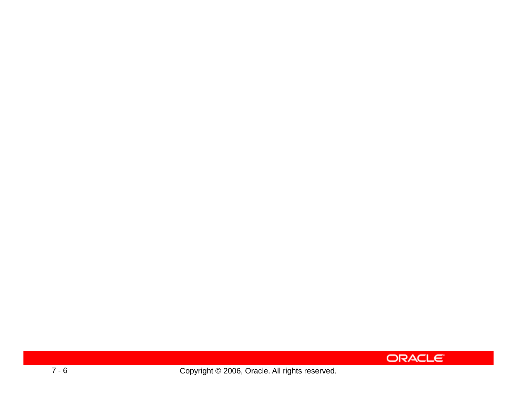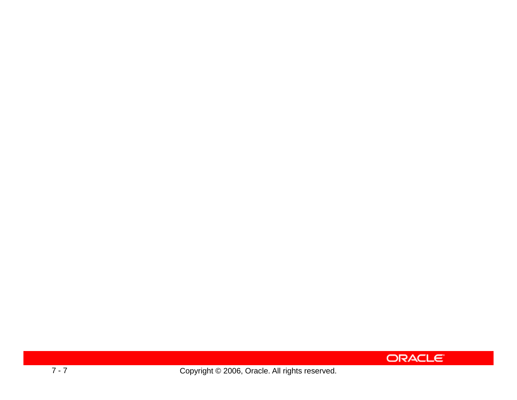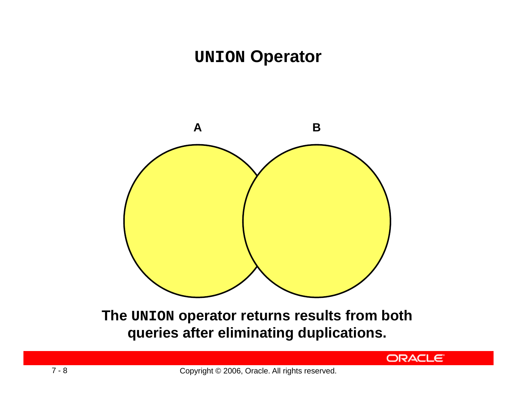## **UNION Operator**



**The UNION operator returns results from both queries after eliminating duplications.**

Copyright © 2006, Oracle. All rights reserved.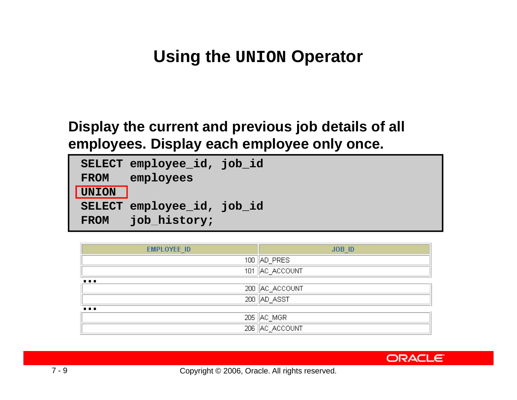## **Using the UNION Operator**

#### **Display the current and previous job details of all employees. Display each employee only once.**

|             | SELECT employee_id, job_id |  |
|-------------|----------------------------|--|
| <b>FROM</b> | employees                  |  |
| UNION       |                            |  |
|             | SELECT employee_id, job_id |  |
| <b>FROM</b> | job history;               |  |

| <b>EMPLOYEE ID</b> | <b>JOB ID</b>  |
|--------------------|----------------|
|                    | 100 AD_PRES    |
|                    | 101 AC_ACCOUNT |
| .                  |                |
|                    | 200 AC_ACCOUNT |
|                    | 200 AD_ASST    |
| .                  |                |
|                    | 205 AC_MGR     |
|                    | 206 AC ACCOUNT |

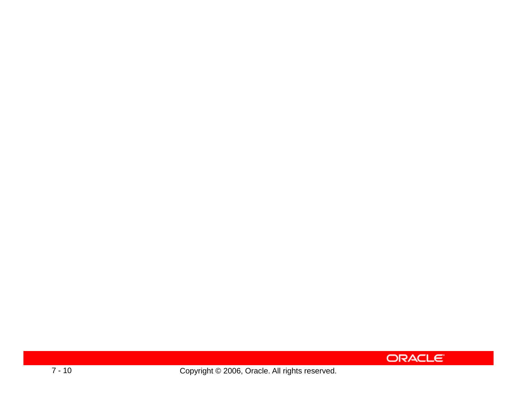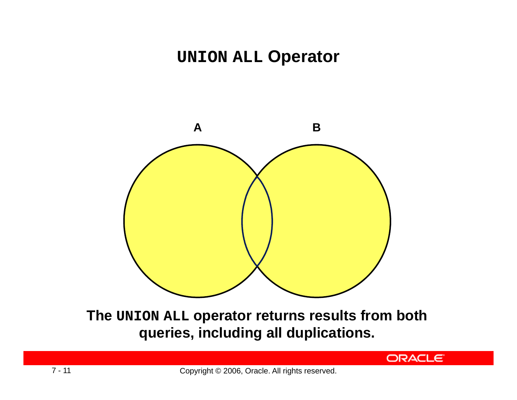#### **UNION ALL Operator**



**The UNION ALL operator returns results from both queries, including all duplications.**

Copyright © 2006, Oracle. All rights reserved.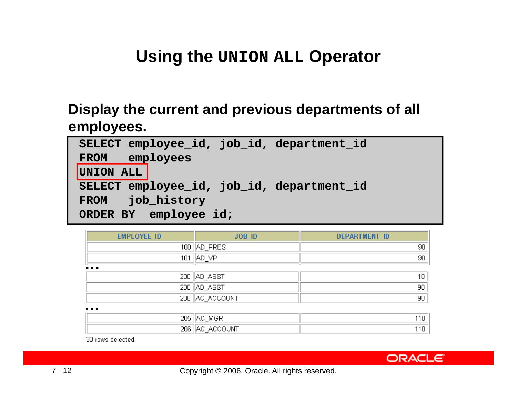## **Using the UNION ALL Operator**

#### **Display the current and previous departments of all employees.**

| SELECT employee_id, job_id, department_id |
|-------------------------------------------|
| FROM employees                            |
| UNION ALL                                 |
| SELECT employee_id, job_id, department_id |
| job history<br><b>FROM</b>                |
| ORDER BY employee id;                     |

| <b>EMPLOYEE ID</b> | JOB ID           | <b>DEPARTMENT ID</b> |
|--------------------|------------------|----------------------|
|                    | $100$ $ AD$ PRES | 90                   |
|                    | 101 AD_VP        | 90                   |
| .                  |                  |                      |
|                    | 200 AD_ASST      | 10                   |
|                    | 200 AD_ASST      | 90                   |
|                    | 200 AC_ACCOUNT   | 90                   |
| .                  |                  |                      |
|                    | 205 AC_MGR       | 110                  |
|                    | 206 AC ACCOUNT   | 110                  |

30 rows selected.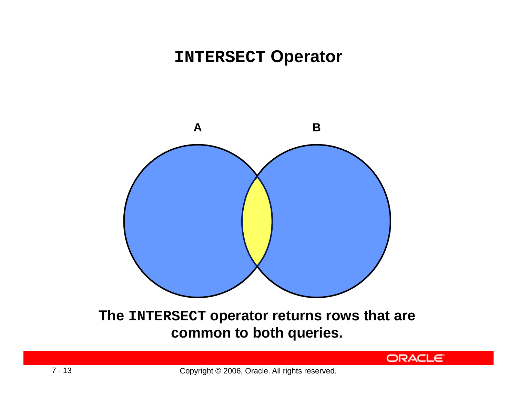#### **INTERSECT Operator**



**common to both queries.**

Copyright © 2006, Oracle. All rights reserved.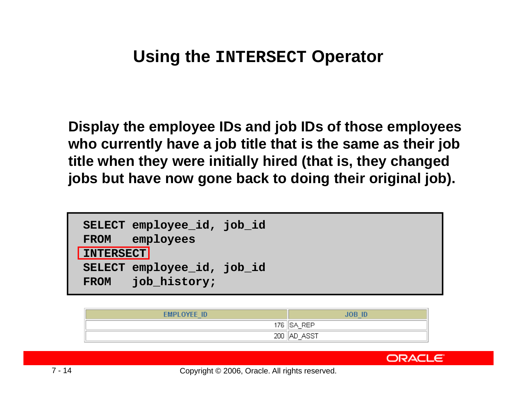#### **Using the INTERSECT Operator**

**Display the employee IDs and job IDs of those employees IDs IDs who currently have a job title that is the same as their job title when they were initially hired (that is, they changed**  jobs but have now gone back to doing their original job).

```
SELECT employee id job id  employee_id, job_id
FROM employees
INTERSECTSELECT employee_id, job_id
FROM job_history;
```

| <b>EMPLOYEE ID</b> |     | <b>JOB</b><br>ID |
|--------------------|-----|------------------|
|                    | 176 | SA REP           |
|                    | 200 | ASST<br> AD<br>- |

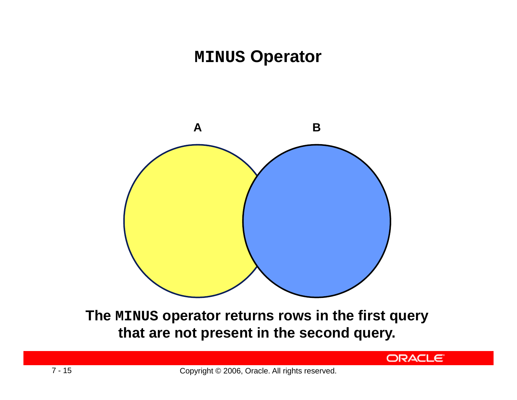## **MINUS Operator**



**The MINUS operator returns rows in the first query that are not present in the second query.**

Copyright © 2006, Oracle. All rights reserved.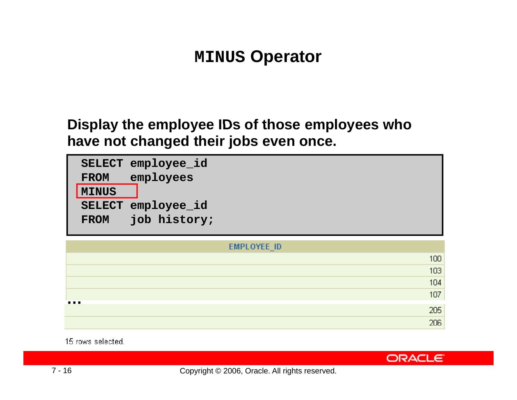## **MINUS Operator**

#### **Display the employee IDs of those employees who have not changed their jobs even once.**

|              | SELECT employee_id |
|--------------|--------------------|
| <b>FROM</b>  | employees          |
| <b>MINUS</b> |                    |
|              | SELECT employee id |
| <b>FROM</b>  | job history;       |

|                                                                                                                                    | EMPLOYEE_ID |     |
|------------------------------------------------------------------------------------------------------------------------------------|-------------|-----|
|                                                                                                                                    |             | 100 |
|                                                                                                                                    |             | 103 |
|                                                                                                                                    |             | 104 |
|                                                                                                                                    |             | 107 |
| $\begin{array}{c} \bullet \hspace{1.6mm} \bullet \hspace{1.6mm} \bullet \hspace{1.6mm} \bullet \hspace{1.6mm} \bullet \end{array}$ |             |     |
|                                                                                                                                    |             | 205 |
|                                                                                                                                    |             | 206 |

15 rows selected.

Copyright © 2006, Oracle. All rights reserved.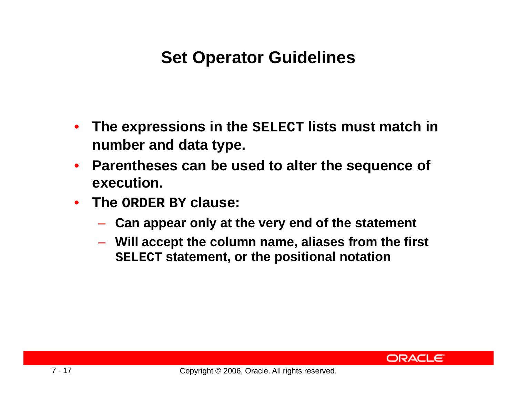# **Set Operator Guidelines**

- • **The expressions in the SELECT lists must match in match number and data type.**
- $\bullet$  **Parentheses can be used to alter the sequence of execution.**
- $\bullet$  **The ORDER BY clause:**
	- **Can appear only at the very end of the statement**
	- **Will accept the column name, aliases from the first SELECT statement, or the positional notation**

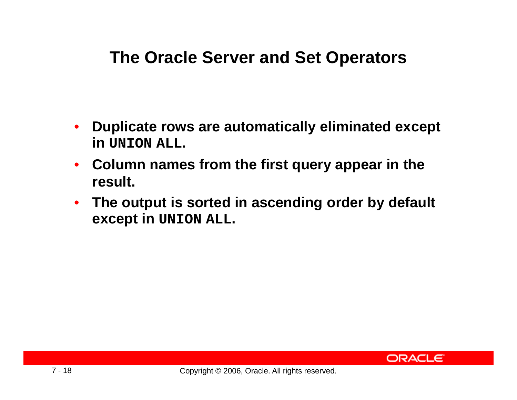## **The Oracle Server and Set Operators**

- • **Duplicate rows are automatically eliminated except in UNION ALL.**
- **Column names from the first query appear in the result.**
- $\bullet$  **The output is sorted in ascending order by default exce pt in UNION ALL.**

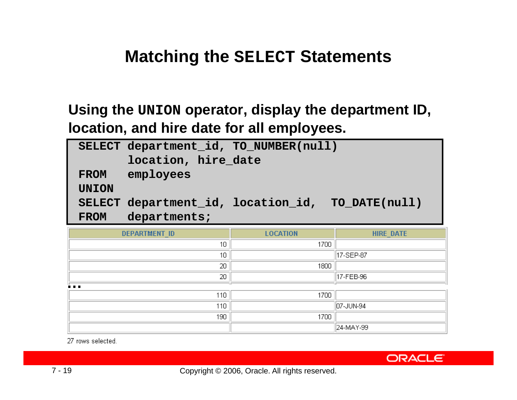### **Matching the SELECT Statements**

#### **Using the UNION operator, display the department ID, l ti d hi d t f ll l location, and hire date for all employees.**

|              | SELECT department id, TO NUMBER(null)            |
|--------------|--------------------------------------------------|
|              | location, hire date                              |
| <b>FROM</b>  | employees                                        |
| <b>UNION</b> |                                                  |
|              | SELECT department id, location id, TO DATE(null) |
| <b>FROM</b>  | departments;                                     |

| <b>DEPARTMENT ID</b> | <b>LOCATION</b> | <b>HIRE DATE</b> |
|----------------------|-----------------|------------------|
| 10                   | 1700            |                  |
| 10                   |                 | 17-SEP-87        |
| 20                   | 1800            |                  |
| 20                   |                 | 17-FEB-96        |
| .                    |                 |                  |
| 110                  | 1700            |                  |
| 110                  |                 | 07-JUN-94        |
| 190                  | 1700            |                  |
|                      |                 | 24-MAY-99        |

27 rows selected.

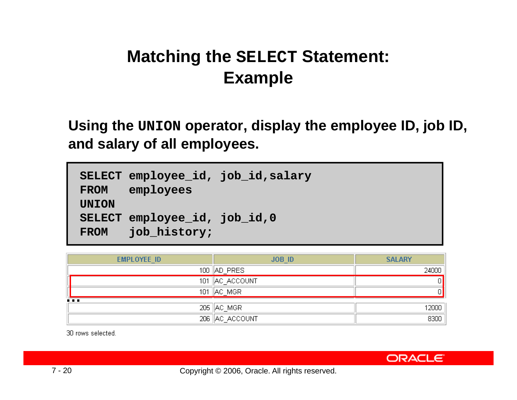# **Matching the SELECT Statement: E l xamp e**

**Using the UNION operator display the employee ID job ID operator, ID, ID, and salary of all employees.**

|              |                               | SELECT employee_id, job_id, salary |
|--------------|-------------------------------|------------------------------------|
| <b>FROM</b>  | employees                     |                                    |
| <b>UNION</b> |                               |                                    |
|              | SELECT employee_id, job id, 0 |                                    |
| <b>FROM</b>  | job_history;                  |                                    |

| <b>EMPLOYEE ID</b> | <b>JOB ID</b>       | <b>SALARY</b> |
|--------------------|---------------------|---------------|
| 100                | $\parallel$ AD PRES | 24000         |
| 101                | $ $ AC_ACCOUNT      |               |
| 101                | $\parallel$ AC MGR  |               |
| .                  |                     |               |
|                    | 205    AC_MGR       | 12000         |
|                    | 206 AC_ACCOUNT      | 8300          |

30 rows selected.

Copyright © 2006, Oracle. All rights reserved.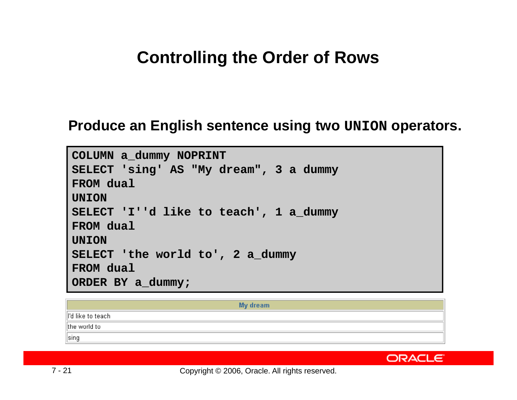## **Controlling the Order of Rows**

#### **Produce an English sentence using two UNION operators operators.**

**COLUMN a\_dummy NOPRINT SELECT 'sin g y ,\_y ' AS "My dream" , 3 a dummy FROM dualUNIONSELECT 'I''d like to teach', 1 a\_dummy FROM dualUNION SELECT 'the world to', 2 a\_dummy FROM dualORDER BY a\_dummy;**

|                     | My dream |
|---------------------|----------|
| l'd like to teach l |          |
| the world to        |          |
| sing                |          |

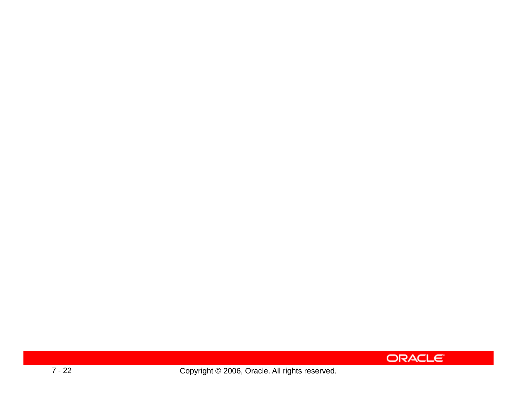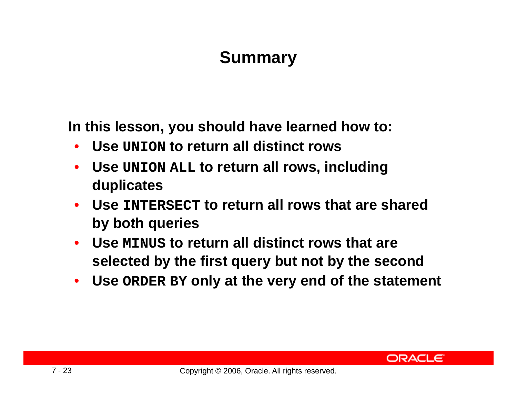# **Summary**

**In this lesson you should have learned how to: lesson,** 

- •**Use UNION to return all distinct rows**
- • **Use UNION ALL to return all rows, including duplicates**
- **Use INTERSECT to return all rows that are shared by both queries**
- **Use MINUS to return all distinct rows that are selected by the first query but not by the second**
- $\bullet$ **Use ORDER BY only at the very end of the statement**